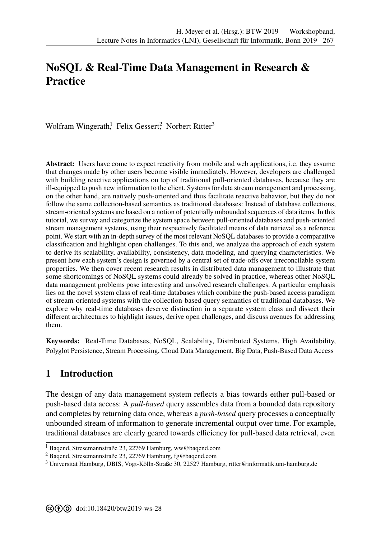# **NoSQL & Real-Time Data Management in Research & Practice**

Wolfram Wingerath,<sup>1</sup> Felix Gessert,<sup>2</sup> Norbert Ritter<sup>3</sup>

**Abstract:** Users have come to expect reactivity from mobile and web applications, i.e. they assume that changes made by other users become visible immediately. However, developers are challenged with building reactive applications on top of traditional pull-oriented databases, because they are ill-equipped to push new information to the client. Systems for data stream management and processing, on the other hand, are natively push-oriented and thus facilitate reactive behavior, but they do not follow the same collection-based semantics as traditional databases: Instead of database collections, stream-oriented systems are based on a notion of potentially unbounded sequences of data items. In this tutorial, we survey and categorize the system space between pull-oriented databases and push-oriented stream management systems, using their respectively facilitated means of data retrieval as a reference point. We start with an in-depth survey of the most relevant NoSQL databases to provide a comparative classification and highlight open challenges. To this end, we analyze the approach of each system to derive its scalability, availability, consistency, data modeling, and querying characteristics. We present how each system's design is governed by a central set of trade-offs over irreconcilable system properties. We then cover recent research results in distributed data management to illustrate that some shortcomings of NoSQL systems could already be solved in practice, whereas other NoSQL data management problems pose interesting and unsolved research challenges. A particular emphasis lies on the novel system class of real-time databases which combine the push-based access paradigm of stream-oriented systems with the collection-based query semantics of traditional databases. We explore why real-time databases deserve distinction in a separate system class and dissect their different architectures to highlight issues, derive open challenges, and discuss avenues for addressing them.

**Keywords:** Real-Time Databases, NoSQL, Scalability, Distributed Systems, High Availability, Polyglot Persistence, Stream Processing, Cloud Data Management, Big Data, Push-Based Data Access

# **1 Introduction**

The design of any data management system reflects a bias towards either pull-based or push-based data access: A *pull-based* query assembles data from a bounded data repository and completes by returning data once, whereas a *push-based* query processes a conceptually unbounded stream of information to generate incremental output over time. For example, traditional databases are clearly geared towards efficiency for pull-based data retrieval, even

<sup>1</sup> Baqend, Stresemannstraße 23, 22769 Hamburg, ww@baqend.com

<sup>2</sup> Baqend, Stresemannstraße 23, 22769 Hamburg, fg@baqend.com

<sup>3</sup> Universität Hamburg, DBIS, Vogt-Kölln-Straße 30, 22527 Hamburg, ritter@informatik.uni-hamburg.de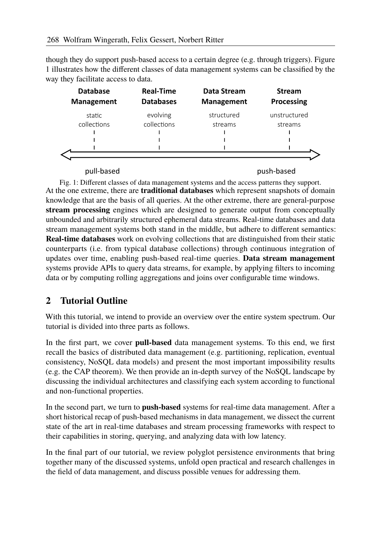though they do support push-based access to a certain degree (e.g. through triggers). Figure 1 illustrates how the different classes of data management systems can be classified by the way they facilitate access to data.

| <b>Databases</b> | <b>Management</b> | <b>Processing</b> |
|------------------|-------------------|-------------------|
| evolving         | structured        | unstructured      |
|                  | streams           | streams           |
|                  |                   |                   |
|                  |                   |                   |
|                  |                   |                   |
|                  |                   |                   |
|                  | collections       |                   |

pull-based push-based

Fig. 1: Different classes of data management systems and the access patterns they support. At the one extreme, there are **traditional databases** which represent snapshots of domain knowledge that are the basis of all queries. At the other extreme, there are general-purpose **stream processing** engines which are designed to generate output from conceptually unbounded and arbitrarily structured ephemeral data streams. Real-time databases and data stream management systems both stand in the middle, but adhere to different semantics: **Real-time databases** work on evolving collections that are distinguished from their static counterparts (i.e. from typical database collections) through continuous integration of updates over time, enabling push-based real-time queries. **Data stream management** systems provide APIs to query data streams, for example, by applying filters to incoming data or by computing rolling aggregations and joins over configurable time windows.

# **2 Tutorial Outline**

With this tutorial, we intend to provide an overview over the entire system spectrum. Our tutorial is divided into three parts as follows.

In the first part, we cover **pull-based** data management systems. To this end, we first recall the basics of distributed data management (e.g. partitioning, replication, eventual consistency, NoSQL data models) and present the most important impossibility results (e.g. the CAP theorem). We then provide an in-depth survey of the NoSQL landscape by discussing the individual architectures and classifying each system according to functional and non-functional properties.

In the second part, we turn to **push-based** systems for real-time data management. After a short historical recap of push-based mechanisms in data management, we dissect the current state of the art in real-time databases and stream processing frameworks with respect to their capabilities in storing, querying, and analyzing data with low latency.

In the final part of our tutorial, we review polyglot persistence environments that bring together many of the discussed systems, unfold open practical and research challenges in the field of data management, and discuss possible venues for addressing them.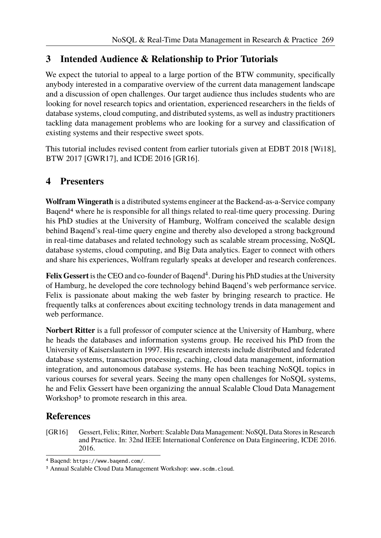## **3 Intended Audience & Relationship to Prior Tutorials**

We expect the tutorial to appeal to a large portion of the BTW community, specifically anybody interested in a comparative overview of the current data management landscape and a discussion of open challenges. Our target audience thus includes students who are looking for novel research topics and orientation, experienced researchers in the fields of database systems, cloud computing, and distributed systems, as well as industry practitioners tackling data management problems who are looking for a survey and classification of existing systems and their respective sweet spots.

This tutorial includes revised content from earlier tutorials given at EDBT 2018 [Wi18], BTW 2017 [GWR17], and ICDE 2016 [GR16].

#### **4 Presenters**

**Wolfram Wingerath** is a distributed systems engineer at the Backend-as-a-Service company Baqend4 where he is responsible for all things related to real-time query processing. During his PhD studies at the University of Hamburg, Wolfram conceived the scalable design behind Baqend's real-time query engine and thereby also developed a strong background in real-time databases and related technology such as scalable stream processing, NoSQL database systems, cloud computing, and Big Data analytics. Eager to connect with others and share his experiences, Wolfram regularly speaks at developer and research conferences.

Felix Gessert is the CEO and co-founder of Baqend<sup>4</sup>. During his PhD studies at the University of Hamburg, he developed the core technology behind Baqend's web performance service. Felix is passionate about making the web faster by bringing research to practice. He frequently talks at conferences about exciting technology trends in data management and web performance.

**Norbert Ritter** is a full professor of computer science at the University of Hamburg, where he heads the databases and information systems group. He received his PhD from the University of Kaiserslautern in 1997. His research interests include distributed and federated database systems, transaction processing, caching, cloud data management, information integration, and autonomous database systems. He has been teaching NoSQL topics in various courses for several years. Seeing the many open challenges for NoSQL systems, he and Felix Gessert have been organizing the annual Scalable Cloud Data Management Workshop<sup>5</sup> to promote research in this area.

### **References**

[GR16] Gessert, Felix; Ritter, Norbert: Scalable Data Management: NoSQL Data Stores in Research and Practice. In: 32nd IEEE International Conference on Data Engineering, ICDE 2016. 2016.

<sup>4</sup> Baqend: https://www.baqend.com/.

<sup>5</sup> Annual Scalable Cloud Data Management Workshop: www.scdm.cloud.